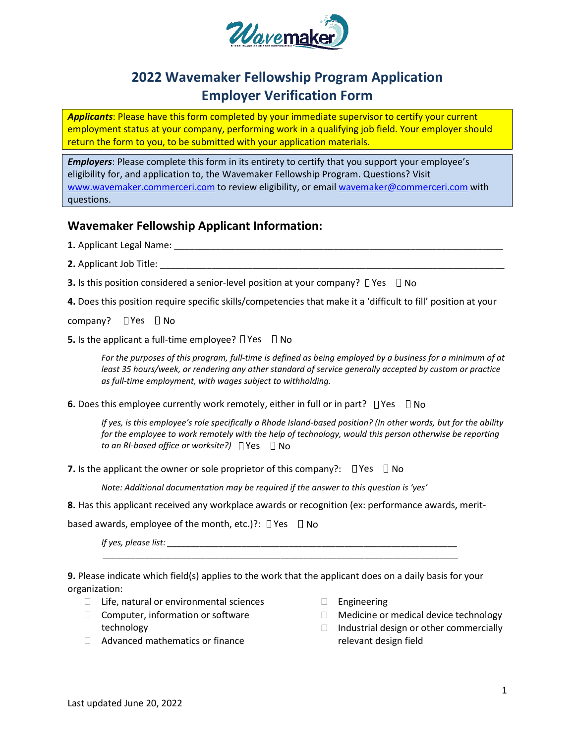

# **2022 Wavemaker Fellowship Program Application Employer Verification Form**

*Applicants*: Please have this form completed by your immediate supervisor to certify your current employment status at your company, performing work in a qualifying job field. Your employer should return the form to you, to be submitted with your application materials.

*Employers*: Please complete this form in its entirety to certify that you support your employee's eligibility for, and application to, the Wavemaker Fellowship Program. Questions? Visit [www.wavemaker.commerceri.com](http://www.wavemaker.commerceri.com/) to review eligibility, or emai[l wavemaker@commerceri.com](mailto:wavemaker@commerceri.com) with questions.

## **Wavemaker Fellowship Applicant Information:**

**1.** Applicant Legal Name: \_\_\_\_\_\_\_\_\_\_\_\_\_\_\_\_\_\_\_\_\_\_\_\_\_\_\_\_\_\_\_\_\_\_\_\_\_\_\_\_\_\_\_\_\_\_\_\_\_\_\_\_\_\_\_\_\_\_\_\_\_\_\_\_

- **2.** Applicant Job Title:
- **3.** Is this position considered a senior-level position at your company?  $\Box$  Yes  $\Box$  No
- **4.** Does this position require specific skills/competencies that make it a 'difficult to fill' position at your

company? DYes DNo

**5.** Is the applicant a full-time employee?  $\Box$  Yes  $\Box$  No

*For the purposes of this program, full-time is defined as being employed by a business for a minimum of at least 35 hours/week, or rendering any other standard of service generally accepted by custom or practice as full-time employment, with wages subject to withholding.* 

**6.** Does this employee currently work remotely, either in full or in part?  $\Box$  Yes  $\Box$  No

 $\Box$  *to an RI-based office or worksite?)*  $\Box$  Yes  $\Box$  No *If yes, is this employee's role specifically a Rhode Island-based position? (In other words, but for the ability for the employee to work remotely with the help of technology, would this person otherwise be reporting* 

**7.** Is the applicant the owner or sole proprietor of this company?:  $\Box$  Yes  $\Box$  No

*Note: Additional documentation may be required if the answer to this question is 'yes'*

**8.** Has this applicant received any workplace awards or recognition (ex: performance awards, merit-

based awards, employee of the month, etc.)?:  $\Box$  Yes  $\Box$  No

*If yes, please list: \_\_\_\_\_\_\_\_\_\_\_\_\_\_\_\_\_\_\_\_\_\_\_\_\_\_\_\_\_\_\_\_\_\_\_\_\_\_\_\_\_\_\_\_\_\_\_\_\_\_\_\_\_\_\_\_\_\_\_\_\_\_*

**9.** Please indicate which field(s) applies to the work that the applicant does on a daily basis for your organization:

*\_\_\_\_\_\_\_\_\_\_\_\_\_\_\_\_\_\_\_\_\_\_\_\_\_\_\_\_\_\_\_\_\_\_\_\_\_\_\_\_\_\_\_\_\_\_\_\_\_\_\_\_\_\_\_\_\_\_\_\_\_\_\_\_\_\_\_\_\_\_\_\_\_\_\_\_*

- $\Box$  Life, natural or environmental sciences
- $\Box$  Computer, information or software technology
- □ Advanced mathematics or finance
- **Engineering**
- □ Medicine or medical device technology
- $\Box$  Industrial design or other commercially relevant design field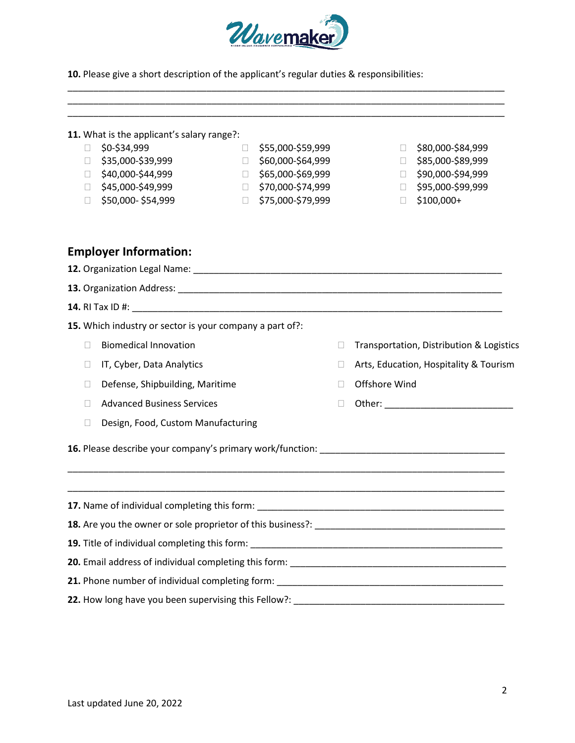

\_\_\_\_\_\_\_\_\_\_\_\_\_\_\_\_\_\_\_\_\_\_\_\_\_\_\_\_\_\_\_\_\_\_\_\_\_\_\_\_\_\_\_\_\_\_\_\_\_\_\_\_\_\_\_\_\_\_\_\_\_\_\_\_\_\_\_\_\_\_\_\_\_\_\_\_\_\_\_\_\_\_\_\_\_ \_\_\_\_\_\_\_\_\_\_\_\_\_\_\_\_\_\_\_\_\_\_\_\_\_\_\_\_\_\_\_\_\_\_\_\_\_\_\_\_\_\_\_\_\_\_\_\_\_\_\_\_\_\_\_\_\_\_\_\_\_\_\_\_\_\_\_\_\_\_\_\_\_\_\_\_\_\_\_\_\_\_\_\_\_ \_\_\_\_\_\_\_\_\_\_\_\_\_\_\_\_\_\_\_\_\_\_\_\_\_\_\_\_\_\_\_\_\_\_\_\_\_\_\_\_\_\_\_\_\_\_\_\_\_\_\_\_\_\_\_\_\_\_\_\_\_\_\_\_\_\_\_\_\_\_\_\_\_\_\_\_\_\_\_\_\_\_\_\_\_

**10.** Please give a short description of the applicant's regular duties & responsibilities:

|  |  |  |  |  |  |  | 11. What is the applicant's salary range?: |  |  |
|--|--|--|--|--|--|--|--------------------------------------------|--|--|
|--|--|--|--|--|--|--|--------------------------------------------|--|--|

- $\Box$  \$0-\$34,999
- $\Box$ \$35,000-\$39,999
- \$40,000-\$44,999
- $\Box$  \$45,000-\$49,999
- $\Box$  \$50,000-\$54,999
- $\Box$  \$55,000-\$59,999 \$60,000-\$64,999 \$65,000-\$69,999 \$70,000-\$74,999
- \$75,000-\$79,999
- □ \$80,000-\$84,999
- $\Box$ \$85,000-\$89,999
- \$90,000-\$94,999
- \$95,000-\$99,999
- $\Box$ \$100,000+

## **Employer Information:**

**12.** Organization Legal Name:  $\blacksquare$ **13.** Organization Address: \_\_\_\_\_\_\_\_\_\_\_\_\_\_\_\_\_\_\_\_\_\_\_\_\_\_\_\_\_\_\_\_\_\_\_\_\_\_\_\_\_\_\_\_\_\_\_\_\_\_\_\_\_\_\_\_\_\_\_\_\_\_\_ **14.** RI Tax ID #: \_\_\_\_\_\_\_\_\_\_\_\_\_\_\_\_\_\_\_\_\_\_\_\_\_\_\_\_\_\_\_\_\_\_\_\_\_\_\_\_\_\_\_\_\_\_\_\_\_\_\_\_\_\_\_\_\_\_\_\_\_\_\_\_\_\_\_\_\_\_\_\_ **15.** Which industry or sector is your company a part of?: **Biomedical Innovation** □ IT, Cyber, Data Analytics  $\Box$  Defense, Shipbuilding, Maritime Advanced Business Services D Design, Food, Custom Manufacturing □ Transportation, Distribution & Logistics □ Arts, Education, Hospitality & Tourism □ Offshore Wind  $\Box$  Other: **16.** Please describe your company's primary work/function: \_\_\_\_\_\_\_\_\_\_\_\_\_\_\_\_\_\_\_\_\_\_\_\_\_\_\_\_\_\_\_\_\_\_\_\_ \_\_\_\_\_\_\_\_\_\_\_\_\_\_\_\_\_\_\_\_\_\_\_\_\_\_\_\_\_\_\_\_\_\_\_\_\_\_\_\_\_\_\_\_\_\_\_\_\_\_\_\_\_\_\_\_\_\_\_\_\_\_\_\_\_\_\_\_\_\_\_\_\_\_\_\_\_\_\_\_\_\_\_\_\_ \_\_\_\_\_\_\_\_\_\_\_\_\_\_\_\_\_\_\_\_\_\_\_\_\_\_\_\_\_\_\_\_\_\_\_\_\_\_\_\_\_\_\_\_\_\_\_\_\_\_\_\_\_\_\_\_\_\_\_\_\_\_\_\_\_\_\_\_\_\_\_\_\_\_\_\_\_\_\_\_\_\_\_\_\_ **17.** Name of individual completing this form: **18.** Are you the owner or sole proprietor of this business?: \_\_\_\_\_\_\_\_\_\_\_\_\_\_\_\_\_\_\_\_\_\_\_\_\_\_\_\_\_\_\_\_\_\_\_\_\_ **19.** Title of individual completing this form: \_\_\_\_\_\_\_\_\_\_\_\_\_\_\_\_\_\_\_\_\_\_\_\_\_\_\_\_\_\_\_\_\_\_ **20.** Email address of individual completing this form: \_\_\_\_\_\_\_\_\_\_\_\_\_\_\_\_\_\_\_\_\_\_\_\_\_\_\_\_\_\_\_ **21.** Phone number of individual completing form: \_\_\_\_\_\_\_\_\_\_\_\_\_\_\_\_\_\_\_\_\_\_\_\_\_\_\_\_\_\_\_\_\_\_\_\_\_\_\_\_\_\_\_\_ **22.** How long have you been supervising this Fellow?: